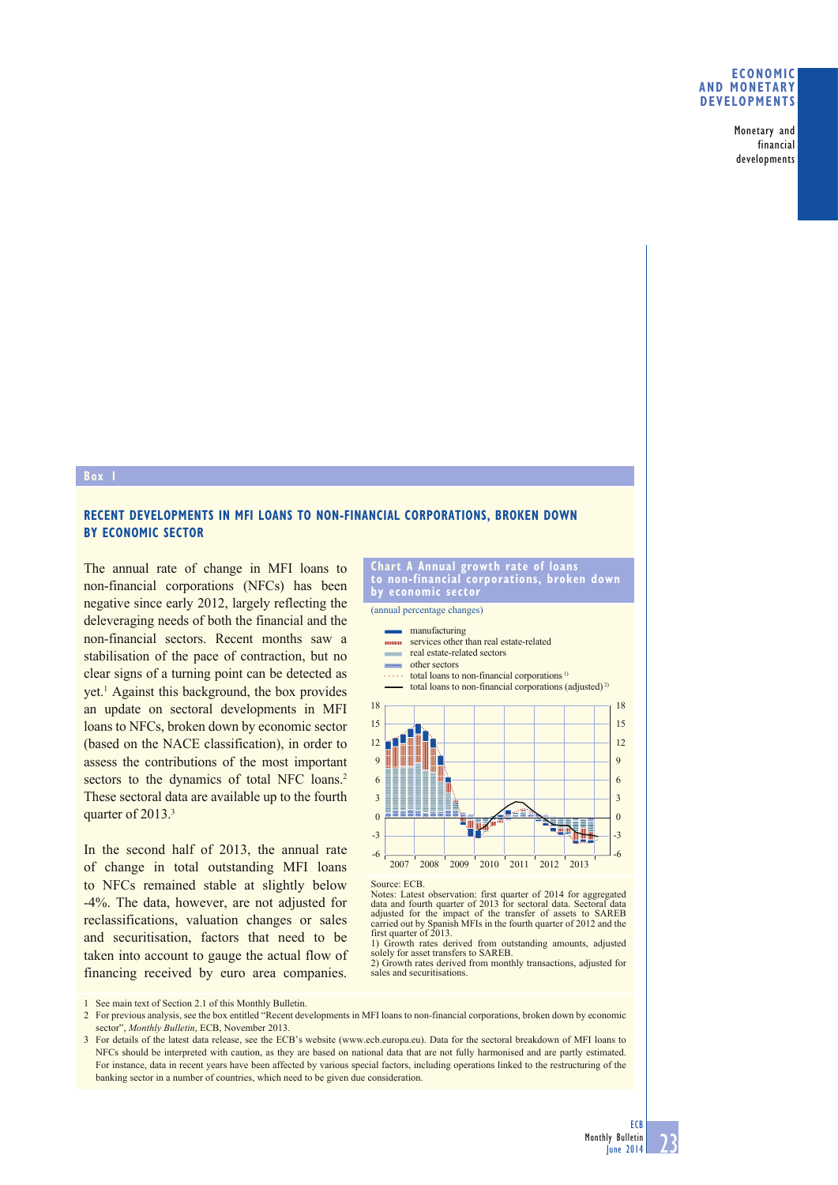## **ECONOMIC AND MONETARY DEVELOPMENTS**

Monetary and financial developments

## **Box 1**

# **RECENT DEVELOPMENTS IN MFI LOANS TO NON-FINANCIAL CORPORATIONS, BROKEN DOWN BY ECONOMIC SECTOR**

The annual rate of change in MFI loans to non-financial corporations (NFCs) has been negative since early 2012, largely reflecting the deleveraging needs of both the financial and the non-financial sectors. Recent months saw a stabilisation of the pace of contraction, but no clear signs of a turning point can be detected as yet.<sup>1</sup> Against this background, the box provides an update on sectoral developments in MFI loans to NFCs, broken down by economic sector (based on the NACE classification), in order to assess the contributions of the most important sectors to the dynamics of total NFC loans.<sup>2</sup> These sectoral data are available up to the fourth quarter of 2013.<sup>3</sup>

In the second half of 2013, the annual rate of change in total outstanding MFI loans to NFCs remained stable at slightly below -4%. The data, however, are not adjusted for reclassifications, valuation changes or sales and securitisation, factors that need to be taken into account to gauge the actual flow of financing received by euro area companies.

#### **Chart A Annual growth rate of loans to non-financial corporations, broken down by economic sector**

(annual percentage changes)



Source: ECB.

Notes: Latest observation: first quarter of 2014 for aggregated data and fourth quarter of 2013 for sectoral data. Sectoral data adjusted for the impact of the transfer of assets to SAREB carried out by Spanish MFIs in the fourth quarter of 2012 and the first quarter of 2013.

1) Growth rates derived from outstanding amounts, adjusted solely for asset transfers to SAREB.

2) Growth rates derived from monthly transactions, adjusted for sales and securitisations.

See main text of Section 2.1 of this Monthly Bulletin.

2 For previous analysis, see the box entitled "Recent developments in MFI loans to non-financial corporations, broken down by economic sector", *Monthly Bulletin*, ECB, November 2013.

3 For details of the latest data release, see the ECB's website (www.ecb.europa.eu). Data for the sectoral breakdown of MFI loans to NFCs should be interpreted with caution, as they are based on national data that are not fully harmonised and are partly estimated. For instance, data in recent years have been affected by various special factors, including operations linked to the restructuring of the banking sector in a number of countries, which need to be given due consideration.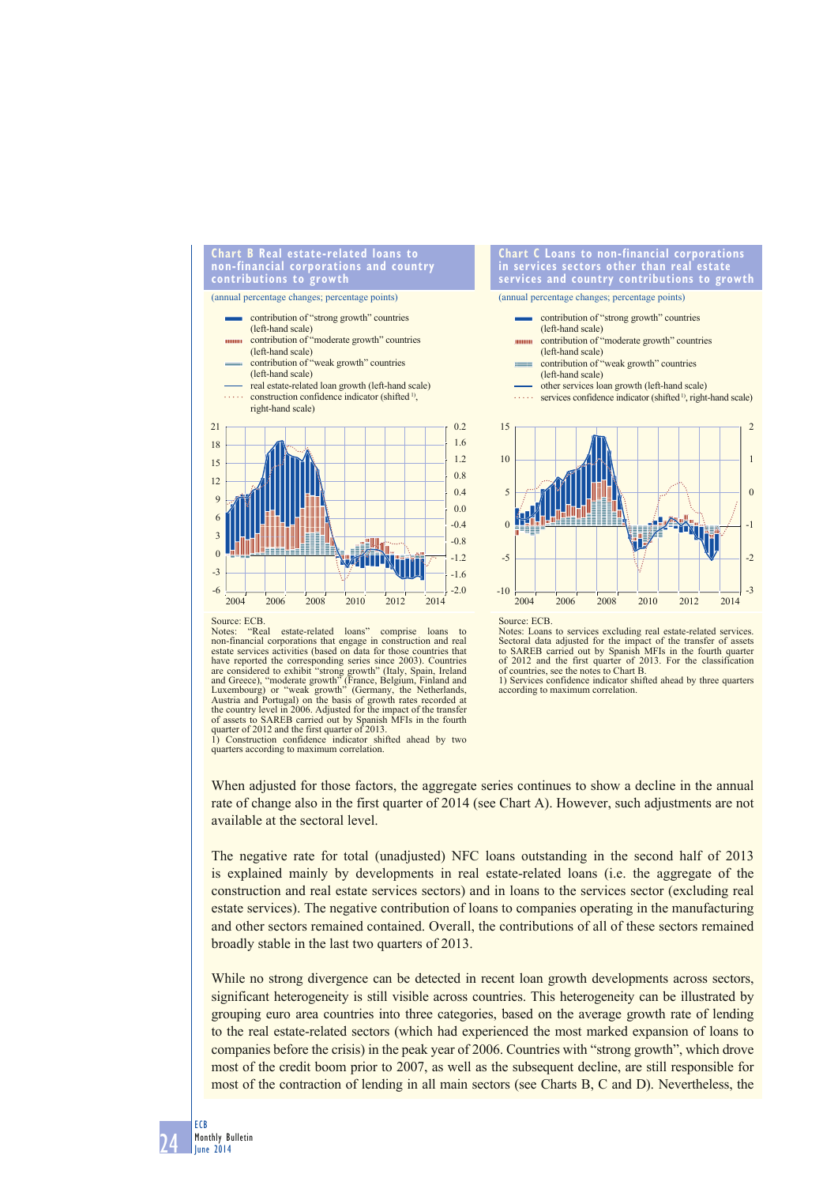### **Chart B Real estate-related loans to non-financial corporations and country contributions to growth**

(annual percentage changes; percentage points)



**Chart C Loans to non-financial corporations in services sectors other than real estate services and country contributions to growth**



Source: ECB.<br>Notes: "Re

"Real estate-related loans" comprise loans to non-financial corporations that engage in construction and real estate services activities (based on data for those countries that have reported the corresponding series since 2003). Countries are considered to exhibit "strong growth" (Italy, Spain, Ireland<br>and Greece), "moderate growth" (France, Belgium, Finland and<br>Luxembourg) or "weak growth" (Germany, the Netherlands,<br>Austria and Portugal) on the basis of gr the country level in 2006. Adjusted for the impact of the transfer of assets to SAREB carried out by Spanish MFIs in the fourth

Notes: Loans to services excluding real estate-related services. Sectoral data adjusted for the impact of the transfer of assets<br>to SAREB carried out by Spanish MFIs in the fourth quarter<br>of 2012 and the first quarter of 2013. For the classification<br>of countries, see the notes to Chart 1) Services confidence indicator shifted ahead by three quarters

according to maximum correlation.

When adjusted for those factors, the aggregate series continues to show a decline in the annual rate of change also in the first quarter of 2014 (see Chart A). However, such adjustments are not available at the sectoral level.

The negative rate for total (unadjusted) NFC loans outstanding in the second half of 2013 is explained mainly by developments in real estate-related loans (i.e. the aggregate of the construction and real estate services sectors) and in loans to the services sector (excluding real estate services). The negative contribution of loans to companies operating in the manufacturing and other sectors remained contained. Overall, the contributions of all of these sectors remained broadly stable in the last two quarters of 2013.

While no strong divergence can be detected in recent loan growth developments across sectors, significant heterogeneity is still visible across countries. This heterogeneity can be illustrated by grouping euro area countries into three categories, based on the average growth rate of lending to the real estate-related sectors (which had experienced the most marked expansion of loans to companies before the crisis) in the peak year of 2006. Countries with "strong growth", which drove most of the credit boom prior to 2007, as well as the subsequent decline, are still responsible for most of the contraction of lending in all main sectors (see Charts B, C and D). Nevertheless, the

quarter of 2012 and the first quarter of 2013. 1) Construction confidence indicator shifted ahead by two quarters according to maximum correlation.